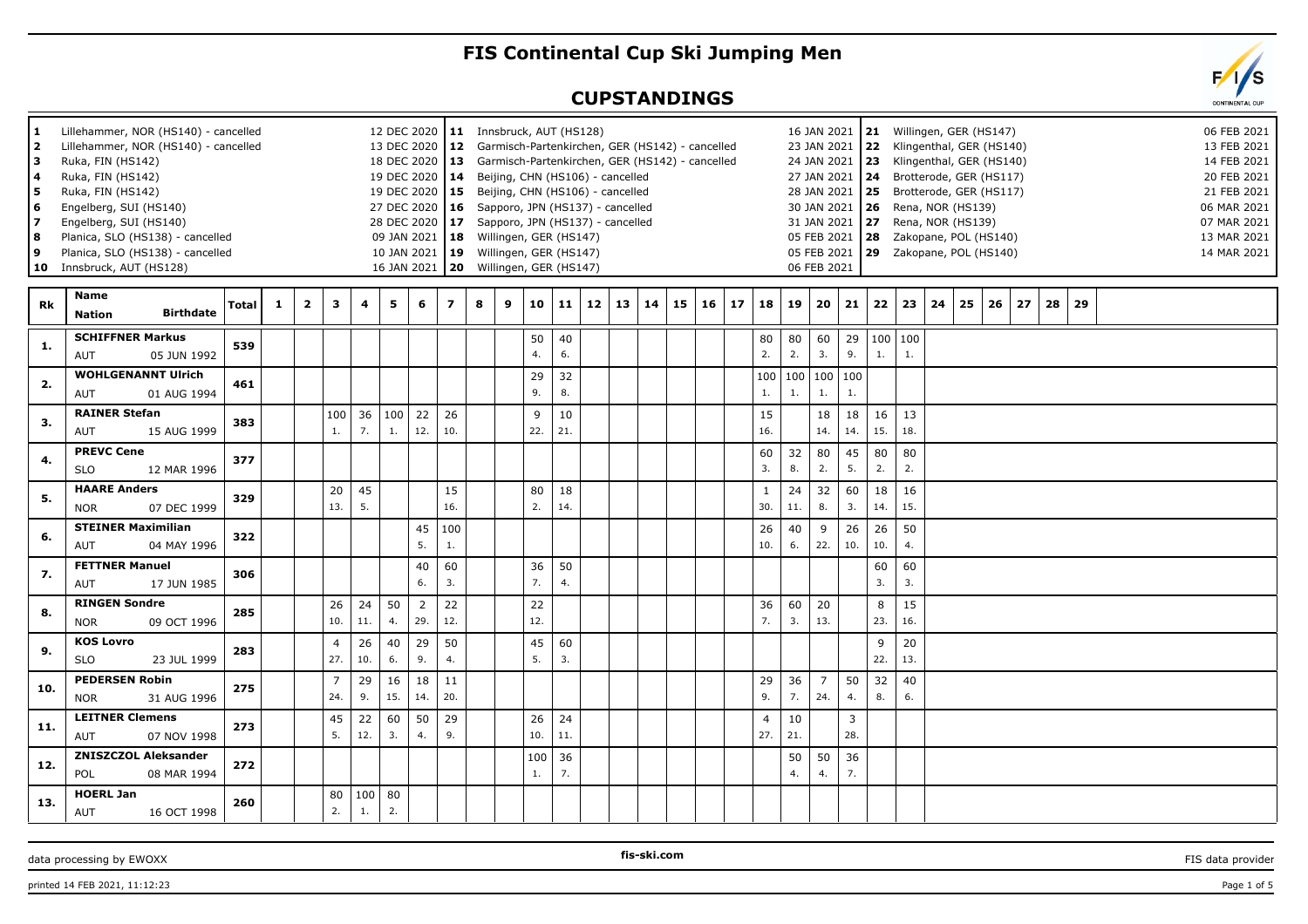## **FIS Continental Cup Ski Jumping Men**

## **CUPSTANDINGS**

| 1<br>2<br>lз<br>4<br>5<br>6<br>17<br>l 8<br>9<br>10 | Lillehammer, NOR (HS140) - cancelled<br>Lillehammer, NOR (HS140) - cancelled<br>Ruka, FIN (HS142)<br>Ruka, FIN (HS142)<br>Ruka, FIN (HS142)<br>Engelberg, SUI (HS140)<br>Engelberg, SUI (HS140)<br>Planica, SLO (HS138) - cancelled<br>Planica, SLO (HS138) - cancelled<br>Innsbruck, AUT (HS128) |                  |       |   |                |                       |           |           | 13 DEC 2020<br>19 DEC 2020<br>16 JAN 2021 | 12 DEC 2020   11 Innsbruck, AUT (HS128)<br>18 DEC 2020   13 Garmisch-Partenkirchen, GER (HS142) - cancelled<br>19 DEC 2020   15 Beijing, CHN (HS106) - cancelled<br>27 DEC 2020   16 Sapporo, JPN (HS137) - cancelled<br>28 DEC 2020   17 Sapporo, JPN (HS137) - cancelled<br>09 JAN 2021   18 Willingen, GER (HS147)<br>10 JAN 2021   19 Willingen, GER (HS147) |   | 12 Garmisch-Partenkirchen, GER (HS142) - cancelled<br>14 Beijing, CHN (HS106) - cancelled<br>20 Willingen, GER (HS147) |           |           |    |    |    |    |    |    |                       |           | 27 JAN 2021<br>31 JAN 2021<br>06 FEB 2021 |                       |           | 16 JAN 2021   21 Willingen, GER (HS147)<br>23 JAN 2021 22 Klingenthal, GER (HS140)<br>24 JAN 2021   23 Klingenthal, GER (HS140)<br>24 Brotterode, GER (HS117)<br>28 JAN 2021 25 Brotterode, GER (HS117)<br>30 JAN 2021   26 Rena, NOR (HS139)<br><b>27</b> Rena, NOR (HS139)<br>05 FEB 2021   28     Zakopane, POL (HS140)<br>05 FEB 2021   29     Zakopane, POL (HS140) |    |    |    |    |    |    |  |  | 06 FEB 2021<br>13 FEB 2021<br>14 FEB 2021<br>20 FEB 2021<br>21 FEB 2021<br>06 MAR 2021<br>07 MAR 2021<br>13 MAR 2021<br>14 MAR 2021 |
|-----------------------------------------------------|---------------------------------------------------------------------------------------------------------------------------------------------------------------------------------------------------------------------------------------------------------------------------------------------------|------------------|-------|---|----------------|-----------------------|-----------|-----------|-------------------------------------------|------------------------------------------------------------------------------------------------------------------------------------------------------------------------------------------------------------------------------------------------------------------------------------------------------------------------------------------------------------------|---|------------------------------------------------------------------------------------------------------------------------|-----------|-----------|----|----|----|----|----|----|-----------------------|-----------|-------------------------------------------|-----------------------|-----------|--------------------------------------------------------------------------------------------------------------------------------------------------------------------------------------------------------------------------------------------------------------------------------------------------------------------------------------------------------------------------|----|----|----|----|----|----|--|--|-------------------------------------------------------------------------------------------------------------------------------------|
| Rk                                                  | Name<br><b>Nation</b>                                                                                                                                                                                                                                                                             | <b>Birthdate</b> | Total | 1 | $\overline{2}$ | 3                     | 4         | 5         | 6                                         | $\overline{z}$                                                                                                                                                                                                                                                                                                                                                   | 8 | 9                                                                                                                      | 10        | 11        | 12 | 13 | 14 | 15 | 16 | 17 | 18                    | 19        | 20                                        | 21                    | 22        | 23                                                                                                                                                                                                                                                                                                                                                                       | 24 | 25 | 26 | 27 | 28 | 29 |  |  |                                                                                                                                     |
| 1.                                                  | <b>SCHIFFNER Markus</b><br>AUT                                                                                                                                                                                                                                                                    | 05 JUN 1992      | 539   |   |                |                       |           |           |                                           |                                                                                                                                                                                                                                                                                                                                                                  |   |                                                                                                                        | 50<br>4.  | 40<br>6.  |    |    |    |    |    |    | 80<br>2.              | 80<br>2.  | 60<br>3.                                  | 29<br>9.              | 1.        | 100   100<br>1.                                                                                                                                                                                                                                                                                                                                                          |    |    |    |    |    |    |  |  |                                                                                                                                     |
| 2.                                                  | <b>WOHLGENANNT Ulrich</b><br><b>AUT</b>                                                                                                                                                                                                                                                           | 01 AUG 1994      | 461   |   |                |                       |           |           |                                           |                                                                                                                                                                                                                                                                                                                                                                  |   |                                                                                                                        | 29<br>9.  | 32<br>8.  |    |    |    |    |    |    | 100<br>1.             | 100<br>1. | 1.                                        | 100 100<br>1.         |           |                                                                                                                                                                                                                                                                                                                                                                          |    |    |    |    |    |    |  |  |                                                                                                                                     |
| 3.                                                  | <b>RAINER Stefan</b><br><b>AUT</b>                                                                                                                                                                                                                                                                | 15 AUG 1999      | 383   |   |                | 100<br>1.             | 36<br>7.  | 100<br>1. | 22<br>12.                                 | 26<br>10.                                                                                                                                                                                                                                                                                                                                                        |   |                                                                                                                        | 9<br>22.  | 10<br>21. |    |    |    |    |    |    | 15<br>16.             |           | 18<br>14.                                 | 18<br>14.             | 16<br>15. | 13<br>18.                                                                                                                                                                                                                                                                                                                                                                |    |    |    |    |    |    |  |  |                                                                                                                                     |
| 4.                                                  | <b>PREVC Cene</b><br><b>SLO</b>                                                                                                                                                                                                                                                                   | 12 MAR 1996      | 377   |   |                |                       |           |           |                                           |                                                                                                                                                                                                                                                                                                                                                                  |   |                                                                                                                        |           |           |    |    |    |    |    |    | 60<br>3.              | 32<br>8.  | 80<br>2.                                  | 45<br>5.              | 80<br>2.  | 80<br>2.                                                                                                                                                                                                                                                                                                                                                                 |    |    |    |    |    |    |  |  |                                                                                                                                     |
| 5.                                                  | <b>HAARE Anders</b><br><b>NOR</b>                                                                                                                                                                                                                                                                 | 07 DEC 1999      | 329   |   |                | 20<br>13.             | 45<br>5.  |           |                                           | 15<br>16.                                                                                                                                                                                                                                                                                                                                                        |   |                                                                                                                        | 80<br>2.  | 18<br>14. |    |    |    |    |    |    | 1<br>30.              | 24<br>11. | 32<br>8.                                  | 60<br>3.              | 18<br>14. | 16<br>15.                                                                                                                                                                                                                                                                                                                                                                |    |    |    |    |    |    |  |  |                                                                                                                                     |
| 6.                                                  | <b>STEINER Maximilian</b><br>AUT                                                                                                                                                                                                                                                                  | 04 MAY 1996      | 322   |   |                |                       |           |           | 45<br>5.                                  | 100<br>1.                                                                                                                                                                                                                                                                                                                                                        |   |                                                                                                                        |           |           |    |    |    |    |    |    | 26<br>10.             | 40<br>6.  | $\overline{9}$<br>22.                     | 26<br>10.             | 26<br>10. | 50<br>4.                                                                                                                                                                                                                                                                                                                                                                 |    |    |    |    |    |    |  |  |                                                                                                                                     |
| 7.                                                  | <b>FETTNER Manuel</b><br>AUT                                                                                                                                                                                                                                                                      | 17 JUN 1985      | 306   |   |                |                       |           |           | 40<br>6.                                  | 60<br>3.                                                                                                                                                                                                                                                                                                                                                         |   |                                                                                                                        | 36<br>7.  | 50<br>4.  |    |    |    |    |    |    |                       |           |                                           |                       | 60<br>3.  | 60<br>3.                                                                                                                                                                                                                                                                                                                                                                 |    |    |    |    |    |    |  |  |                                                                                                                                     |
| 8.                                                  | <b>RINGEN Sondre</b><br><b>NOR</b>                                                                                                                                                                                                                                                                | 09 OCT 1996      | 285   |   |                | 26<br>10.             | 24<br>11. | 50<br>4.  | 2<br>29.                                  | 22<br>12.                                                                                                                                                                                                                                                                                                                                                        |   |                                                                                                                        | 22<br>12. |           |    |    |    |    |    |    | 36<br>7.              | 60<br>3.  | 20<br>13.                                 |                       | 8<br>23.  | 15<br>16.                                                                                                                                                                                                                                                                                                                                                                |    |    |    |    |    |    |  |  |                                                                                                                                     |
| 9.                                                  | <b>KOS Lovro</b><br><b>SLO</b>                                                                                                                                                                                                                                                                    | 23 JUL 1999      | 283   |   |                | $\overline{4}$<br>27. | 26<br>10. | 40<br>6.  | 29<br>9.                                  | 50<br>$\overline{4}$ .                                                                                                                                                                                                                                                                                                                                           |   |                                                                                                                        | 45<br>5.  | 60<br>3.  |    |    |    |    |    |    |                       |           |                                           |                       | 9<br>22.  | 20<br>13.                                                                                                                                                                                                                                                                                                                                                                |    |    |    |    |    |    |  |  |                                                                                                                                     |
| 10.                                                 | <b>PEDERSEN Robin</b><br><b>NOR</b>                                                                                                                                                                                                                                                               | 31 AUG 1996      | 275   |   |                | $\overline{7}$<br>24. | 29<br>9.  | 16<br>15. | 18<br>14.                                 | 11<br>20.                                                                                                                                                                                                                                                                                                                                                        |   |                                                                                                                        |           |           |    |    |    |    |    |    | 29<br>9.              | 36<br>7.  | $\overline{7}$<br>24.                     | 50<br>4.              | 32<br>8.  | 40<br>6.                                                                                                                                                                                                                                                                                                                                                                 |    |    |    |    |    |    |  |  |                                                                                                                                     |
| 11.                                                 | <b>LEITNER Clemens</b><br>AUT                                                                                                                                                                                                                                                                     | 07 NOV 1998      | 273   |   |                | 45<br>5.              | 22<br>12. | 60<br>3.  | 50<br>4.                                  | 29<br>9.                                                                                                                                                                                                                                                                                                                                                         |   |                                                                                                                        | 26<br>10. | 24<br>11. |    |    |    |    |    |    | $\overline{4}$<br>27. | 10<br>21. |                                           | $\overline{3}$<br>28. |           |                                                                                                                                                                                                                                                                                                                                                                          |    |    |    |    |    |    |  |  |                                                                                                                                     |
| 12.                                                 | <b>ZNISZCZOL Aleksander</b><br>POL                                                                                                                                                                                                                                                                | 08 MAR 1994      | 272   |   |                |                       |           |           |                                           |                                                                                                                                                                                                                                                                                                                                                                  |   |                                                                                                                        | 100<br>1. | 36<br>7.  |    |    |    |    |    |    |                       | 50<br>4.  | 50<br>4.                                  | 36<br>7.              |           |                                                                                                                                                                                                                                                                                                                                                                          |    |    |    |    |    |    |  |  |                                                                                                                                     |
| 13.                                                 | <b>HOERL Jan</b><br>AUT                                                                                                                                                                                                                                                                           | 16 OCT 1998      | 260   |   |                | 80<br>2.              | 100<br>1. | 80<br>2.  |                                           |                                                                                                                                                                                                                                                                                                                                                                  |   |                                                                                                                        |           |           |    |    |    |    |    |    |                       |           |                                           |                       |           |                                                                                                                                                                                                                                                                                                                                                                          |    |    |    |    |    |    |  |  |                                                                                                                                     |

data processing by EWOXX **FIS-SKI.com FIS-SKI.com FIS** data provider **FIS** data provider

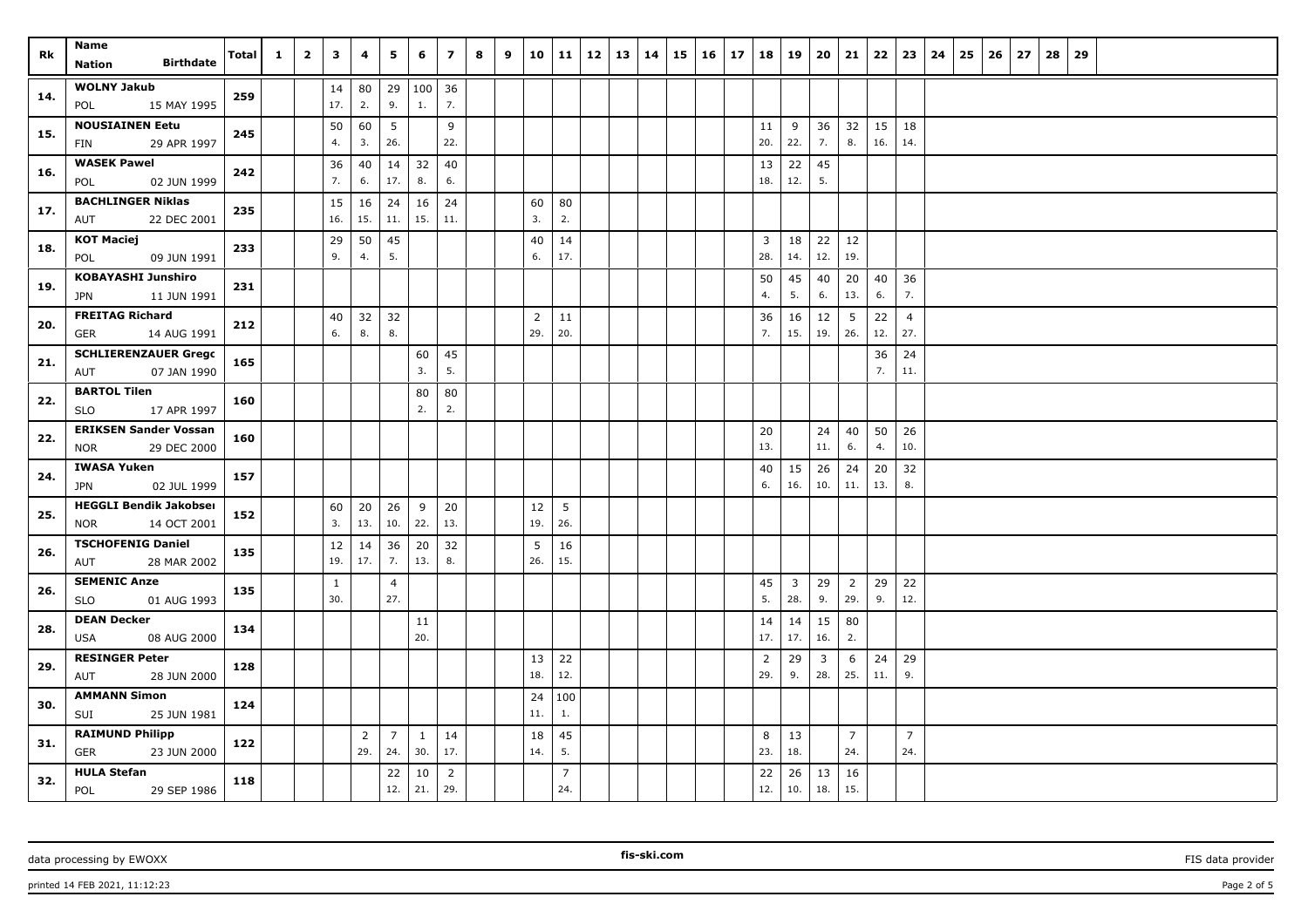| Rk  | Name<br><b>Birthdate</b><br><b>Nation</b>      | Total | $\mathbf{1}$ | $\overline{\mathbf{2}}$ | 3            | 4              | 5               | 6            | $\overline{z}$ | 8 | 9 | 10             | 11              | $12 \mid 13$ | 14 | 15 | 16 | 17 |                | 18 19        | 20       | 21                    | 22       | 23             | 24 | 25 | 26 | 27 | 28 | 29 |  |  |  |
|-----|------------------------------------------------|-------|--------------|-------------------------|--------------|----------------|-----------------|--------------|----------------|---|---|----------------|-----------------|--------------|----|----|----|----|----------------|--------------|----------|-----------------------|----------|----------------|----|----|----|----|----|----|--|--|--|
|     |                                                |       |              |                         |              |                |                 |              |                |   |   |                |                 |              |    |    |    |    |                |              |          |                       |          |                |    |    |    |    |    |    |  |  |  |
| 14. | <b>WOLNY Jakub</b><br>15 MAY 1995<br>POL       | 259   |              |                         | 14<br>17.    | 80<br>2.       | 29<br>9.        | 100 36<br>1. | 7.             |   |   |                |                 |              |    |    |    |    |                |              |          |                       |          |                |    |    |    |    |    |    |  |  |  |
|     | <b>NOUSIAINEN Eetu</b>                         |       |              |                         | 50           | 60             | $5\phantom{.0}$ |              | 9              |   |   |                |                 |              |    |    |    |    | 11             | 9            | 36       | 32                    | 15       | 18             |    |    |    |    |    |    |  |  |  |
| 15. | 29 APR 1997<br>FIN                             | 245   |              |                         | 4.           | 3.             | 26.             |              | 22.            |   |   |                |                 |              |    |    |    |    | 20.            | 22.          | 7.       | 8.                    | 16.      | 14.            |    |    |    |    |    |    |  |  |  |
| 16. | <b>WASEK Pawel</b>                             | 242   |              |                         | 36           | 40             | 14              | 32           | 40             |   |   |                |                 |              |    |    |    |    | 13             | 22           | 45       |                       |          |                |    |    |    |    |    |    |  |  |  |
|     | 02 JUN 1999<br>POL                             |       |              |                         | 7.           | 6.             | 17.             | 8.           | 6.             |   |   |                |                 |              |    |    |    |    | 18.            | 12.          | 5.       |                       |          |                |    |    |    |    |    |    |  |  |  |
| 17. | <b>BACHLINGER Niklas</b><br>AUT<br>22 DEC 2001 | 235   |              |                         | 15<br>16.    | 16<br>15.      | 24<br>11.       | 16<br>15.    | 24<br>11.      |   |   | 60<br>3.       | 80<br>2.        |              |    |    |    |    |                |              |          |                       |          |                |    |    |    |    |    |    |  |  |  |
|     | <b>KOT Maciej</b>                              |       |              |                         | 29           | 50             | 45              |              |                |   |   | 40             | 14              |              |    |    |    |    | 3              | 18           | 22       | 12                    |          |                |    |    |    |    |    |    |  |  |  |
| 18. | POL<br>09 JUN 1991                             | 233   |              |                         | 9.           | 4.             | 5.              |              |                |   |   | 6.             | 17.             |              |    |    |    |    | 28.            | 14.          | 12.      | 19.                   |          |                |    |    |    |    |    |    |  |  |  |
|     | <b>KOBAYASHI Junshiro</b>                      |       |              |                         |              |                |                 |              |                |   |   |                |                 |              |    |    |    |    | 50             | 45           | 40       | 20                    | 40       | 36             |    |    |    |    |    |    |  |  |  |
| 19. | <b>JPN</b><br>11 JUN 1991                      | 231   |              |                         |              |                |                 |              |                |   |   |                |                 |              |    |    |    |    | 4.             | 5.           | 6.       | 13.                   | 6.       | 7.             |    |    |    |    |    |    |  |  |  |
| 20. | <b>FREITAG Richard</b>                         | 212   |              |                         | 40           | 32             | 32              |              |                |   |   | $\overline{2}$ | 11              |              |    |    |    |    | 36             | 16           | 12       | 5                     | 22       | $\overline{4}$ |    |    |    |    |    |    |  |  |  |
|     | 14 AUG 1991<br>GER                             |       |              |                         | 6.           | 8.             | 8.              |              |                |   |   | 29.            | 20.             |              |    |    |    |    | 7.             | 15.          | 19.      | 26.                   | 12.      | 27.            |    |    |    |    |    |    |  |  |  |
| 21. | <b>SCHLIERENZAUER Grego</b>                    | 165   |              |                         |              |                |                 | 60           | 45             |   |   |                |                 |              |    |    |    |    |                |              |          |                       | 36       | 24             |    |    |    |    |    |    |  |  |  |
|     | 07 JAN 1990<br>AUT                             |       |              |                         |              |                |                 | 3.           | 5.             |   |   |                |                 |              |    |    |    |    |                |              |          |                       | 7.       | 11.            |    |    |    |    |    |    |  |  |  |
| 22. | <b>BARTOL Tilen</b>                            | 160   |              |                         |              |                |                 | 80           | 80             |   |   |                |                 |              |    |    |    |    |                |              |          |                       |          |                |    |    |    |    |    |    |  |  |  |
|     | <b>SLO</b><br>17 APR 1997                      |       |              |                         |              |                |                 | 2.           | 2.             |   |   |                |                 |              |    |    |    |    |                |              |          |                       |          |                |    |    |    |    |    |    |  |  |  |
| 22. | <b>ERIKSEN Sander Vossan</b>                   | 160   |              |                         |              |                |                 |              |                |   |   |                |                 |              |    |    |    |    | 20             |              | 24       | 40                    | 50       | 26             |    |    |    |    |    |    |  |  |  |
|     | 29 DEC 2000<br><b>NOR</b>                      |       |              |                         |              |                |                 |              |                |   |   |                |                 |              |    |    |    |    | 13.            |              | 11.      | 6.                    | 4.       | 10.            |    |    |    |    |    |    |  |  |  |
| 24. | <b>IWASA Yuken</b>                             | 157   |              |                         |              |                |                 |              |                |   |   |                |                 |              |    |    |    |    | 40             | 15           | 26       | 24                    | 20       | 32             |    |    |    |    |    |    |  |  |  |
|     | 02 JUL 1999<br>JPN                             |       |              |                         |              |                |                 |              |                |   |   |                |                 |              |    |    |    |    | 6.             | 16.          | 10.      | 11.                   | 13.      | 8.             |    |    |    |    |    |    |  |  |  |
| 25. | <b>HEGGLI Bendik Jakobser</b>                  | 152   |              |                         | 60           | 20             | 26              | 9            | 20             |   |   | 12             | $5\overline{5}$ |              |    |    |    |    |                |              |          |                       |          |                |    |    |    |    |    |    |  |  |  |
|     | <b>NOR</b><br>14 OCT 2001                      |       |              |                         | 3.           | 13.            | 10.             | 22.          | 13.            |   |   | 19.            | 26.             |              |    |    |    |    |                |              |          |                       |          |                |    |    |    |    |    |    |  |  |  |
| 26. | <b>TSCHOFENIG Daniel</b><br>28 MAR 2002<br>AUT | 135   |              |                         | 12<br>19.    | 14<br>17.      | 36<br>7.        | 20<br>13.    | 32<br>8.       |   |   | 5<br>26.       | 16<br>15.       |              |    |    |    |    |                |              |          |                       |          |                |    |    |    |    |    |    |  |  |  |
|     | <b>SEMENIC Anze</b>                            |       |              |                         | $\mathbf{1}$ |                |                 |              |                |   |   |                |                 |              |    |    |    |    | 45             | $\mathbf{3}$ |          |                       |          | 22             |    |    |    |    |    |    |  |  |  |
| 26. | <b>SLO</b><br>01 AUG 1993                      | 135   |              |                         | 30.          |                | 4<br>27.        |              |                |   |   |                |                 |              |    |    |    |    | 5.             | 28.          | 29<br>9. | $\overline{2}$<br>29. | 29<br>9. | 12.            |    |    |    |    |    |    |  |  |  |
| 28. | <b>DEAN Decker</b>                             | 134   |              |                         |              |                |                 | 11           |                |   |   |                |                 |              |    |    |    |    | 14             | 14           | 15       | 80                    |          |                |    |    |    |    |    |    |  |  |  |
|     | 08 AUG 2000<br>USA                             |       |              |                         |              |                |                 | 20.          |                |   |   |                |                 |              |    |    |    |    | 17.            | 17.          | 16.      | 2.                    |          |                |    |    |    |    |    |    |  |  |  |
| 29. | <b>RESINGER Peter</b>                          | 128   |              |                         |              |                |                 |              |                |   |   | 13             | 22              |              |    |    |    |    | $\overline{2}$ | 29           | 3        | 6                     | 24       | 29             |    |    |    |    |    |    |  |  |  |
|     | AUT<br>28 JUN 2000                             |       |              |                         |              |                |                 |              |                |   |   | 18.            | 12.             |              |    |    |    |    | 29.            | 9.           | 28.      | 25.                   | 11.      | 9.             |    |    |    |    |    |    |  |  |  |
| 30. | <b>AMMANN Simon</b>                            | 124   |              |                         |              |                |                 |              |                |   |   | 24             | 100             |              |    |    |    |    |                |              |          |                       |          |                |    |    |    |    |    |    |  |  |  |
|     | 25 JUN 1981<br>SUI                             |       |              |                         |              |                |                 |              |                |   |   | 11.            | 1.              |              |    |    |    |    |                |              |          |                       |          |                |    |    |    |    |    |    |  |  |  |
| 31. | <b>RAIMUND Philipp</b>                         | 122   |              |                         |              | $\overline{2}$ | $\overline{7}$  | $\mathbf{1}$ | 14             |   |   | 18             | 45              |              |    |    |    |    | 8              | 13           |          | $\overline{7}$        |          | $\overline{7}$ |    |    |    |    |    |    |  |  |  |
|     | GER<br>23 JUN 2000                             |       |              |                         |              | 29.            | 24.             | 30.          | 17.            |   |   | 14.            | 5.              |              |    |    |    |    | 23.            | 18.          |          | 24.                   |          | 24.            |    |    |    |    |    |    |  |  |  |
| 32. | <b>HULA Stefan</b>                             | 118   |              |                         |              |                | 22              | 10           | $\overline{2}$ |   |   |                | $\overline{7}$  |              |    |    |    |    | 22             | 26           | 13       | 16                    |          |                |    |    |    |    |    |    |  |  |  |
|     | <b>POL</b><br>29 SEP 1986                      |       |              |                         |              |                | 12.             | 21.          | 29.            |   |   |                | 24.             |              |    |    |    |    | 12.            | 10.          | 18.      | 15.                   |          |                |    |    |    |    |    |    |  |  |  |

data processing by EWOXX **FIS** data provider **FIS** data provider **FIS** data provider **FIS** data provider

**fis-ski.com**

printed 14 FEB 2021, 11:12:23 Page 2 of 5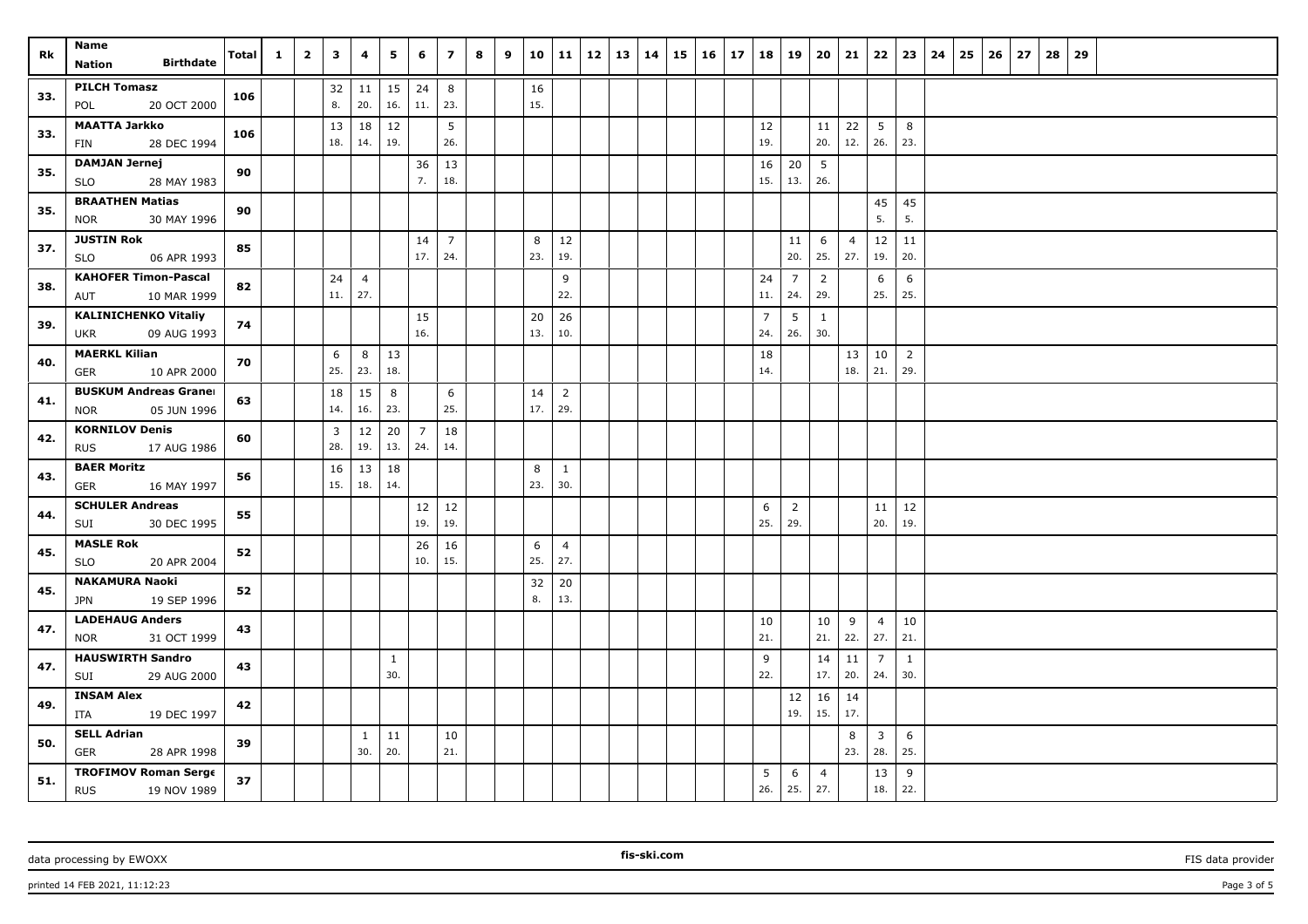| Rk  | <b>Name</b>                                              | Total | $\mathbf{1}$ | $\overline{\mathbf{2}}$ | 3                     | 4                     | 5         | 6                     | $\overline{z}$ | 8 | 9 | 10       | 11             | $12 \mid 13$ | $14 \mid 15$ | 16 | $\vert$ 17 |                | $18$   19             | 20                    | 21             | 22             | 23             | 24 | 25 | $26 \mid 27$ | 28 | 29 |  |  |  |  |
|-----|----------------------------------------------------------|-------|--------------|-------------------------|-----------------------|-----------------------|-----------|-----------------------|----------------|---|---|----------|----------------|--------------|--------------|----|------------|----------------|-----------------------|-----------------------|----------------|----------------|----------------|----|----|--------------|----|----|--|--|--|--|
|     | <b>Birthdate</b><br><b>Nation</b>                        |       |              |                         |                       |                       |           |                       |                |   |   |          |                |              |              |    |            |                |                       |                       |                |                |                |    |    |              |    |    |  |  |  |  |
| 33. | <b>PILCH Tomasz</b>                                      | 106   |              |                         | 32                    | 11                    | 15        | 24                    | 8              |   |   | 16       |                |              |              |    |            |                |                       |                       |                |                |                |    |    |              |    |    |  |  |  |  |
|     | 20 OCT 2000<br>POL                                       |       |              |                         | 8.                    | 20.                   | 16.       | 11.                   | 23.            |   |   | 15.      |                |              |              |    |            |                |                       |                       |                |                |                |    |    |              |    |    |  |  |  |  |
| 33. | <b>MAATTA Jarkko</b><br>28 DEC 1994<br>FIN               | 106   |              |                         | 13<br>18.             | 18<br>14.             | 12<br>19. |                       | 5<br>26.       |   |   |          |                |              |              |    |            | 12<br>19.      |                       | 11<br>20.             | 22<br>12.      | 5<br>26.       | 8<br>23.       |    |    |              |    |    |  |  |  |  |
|     | <b>DAMJAN Jernej</b>                                     |       |              |                         |                       |                       |           | 36                    | 13             |   |   |          |                |              |              |    |            | 16             | 20                    | 5                     |                |                |                |    |    |              |    |    |  |  |  |  |
| 35. | <b>SLO</b><br>28 MAY 1983                                | 90    |              |                         |                       |                       |           | 7.                    | 18.            |   |   |          |                |              |              |    |            | 15.            | 13.                   | 26.                   |                |                |                |    |    |              |    |    |  |  |  |  |
| 35. | <b>BRAATHEN Matias</b>                                   | 90    |              |                         |                       |                       |           |                       |                |   |   |          |                |              |              |    |            |                |                       |                       |                | 45             | 45             |    |    |              |    |    |  |  |  |  |
|     | 30 MAY 1996<br>NOR                                       |       |              |                         |                       |                       |           |                       |                |   |   |          |                |              |              |    |            |                |                       |                       |                | 5.             | 5.             |    |    |              |    |    |  |  |  |  |
| 37. | <b>JUSTIN Rok</b>                                        | 85    |              |                         |                       |                       |           | 14                    | $\overline{7}$ |   |   | 8        | 12             |              |              |    |            |                | 11                    | 6                     | $\overline{4}$ | 12             | 11             |    |    |              |    |    |  |  |  |  |
|     | <b>SLO</b><br>06 APR 1993                                |       |              |                         |                       |                       |           | 17.                   | 24.            |   |   | 23.      | 19.            |              |              |    |            |                | 20.                   | 25.                   | 27.            | 19.            | 20.            |    |    |              |    |    |  |  |  |  |
| 38. | <b>KAHOFER Timon-Pascal</b><br>10 MAR 1999<br>AUT        | 82    |              |                         | 24<br>11.             | $\overline{4}$<br>27. |           |                       |                |   |   |          | 9<br>22.       |              |              |    |            | 24<br>11.      | $\overline{7}$<br>24. | 2<br>29.              |                | 6<br>25.       | 6<br>25.       |    |    |              |    |    |  |  |  |  |
|     | <b>KALINICHENKO Vitaliy</b>                              |       |              |                         |                       |                       |           | 15                    |                |   |   | 20       | 26             |              |              |    |            | $\overline{7}$ | 5                     | $\mathbf{1}$          |                |                |                |    |    |              |    |    |  |  |  |  |
| 39. | 09 AUG 1993<br>UKR                                       | 74    |              |                         |                       |                       |           | 16.                   |                |   |   | 13.      | 10.            |              |              |    |            | 24.            | 26.                   | 30.                   |                |                |                |    |    |              |    |    |  |  |  |  |
| 40. | <b>MAERKL Kilian</b>                                     | 70    |              |                         | 6                     | 8                     | 13        |                       |                |   |   |          |                |              |              |    |            | 18             |                       |                       | 13             | 10             | $\overline{2}$ |    |    |              |    |    |  |  |  |  |
|     | <b>GER</b><br>10 APR 2000                                |       |              |                         | 25.                   | 23.                   | 18.       |                       |                |   |   |          |                |              |              |    |            | 14.            |                       |                       | 18.            | 21.            | 29.            |    |    |              |    |    |  |  |  |  |
| 41. | <b>BUSKUM Andreas Graner</b>                             | 63    |              |                         | 18                    | 15                    | 8         |                       | 6              |   |   | 14       | $\overline{2}$ |              |              |    |            |                |                       |                       |                |                |                |    |    |              |    |    |  |  |  |  |
|     | 05 JUN 1996<br><b>NOR</b>                                |       |              |                         | 14.                   | 16.                   | 23.       |                       | 25.            |   |   | 17.      | 29.            |              |              |    |            |                |                       |                       |                |                |                |    |    |              |    |    |  |  |  |  |
| 42. | <b>KORNILOV Denis</b><br><b>RUS</b><br>17 AUG 1986       | 60    |              |                         | $\overline{3}$<br>28. | 12<br>19.             | 20<br>13. | $\overline{7}$<br>24. | 18<br>14.      |   |   |          |                |              |              |    |            |                |                       |                       |                |                |                |    |    |              |    |    |  |  |  |  |
|     | <b>BAER Moritz</b>                                       |       |              |                         | 16                    | 13                    | 18        |                       |                |   |   | 8        | $\mathbf{1}$   |              |              |    |            |                |                       |                       |                |                |                |    |    |              |    |    |  |  |  |  |
| 43. | 16 MAY 1997<br>GER                                       | 56    |              |                         | 15.                   | 18.                   | 14.       |                       |                |   |   | 23.      | 30.            |              |              |    |            |                |                       |                       |                |                |                |    |    |              |    |    |  |  |  |  |
| 44. | <b>SCHULER Andreas</b>                                   | 55    |              |                         |                       |                       |           | 12                    | 12             |   |   |          |                |              |              |    |            | 6              | $\overline{2}$        |                       |                | 11             | 12             |    |    |              |    |    |  |  |  |  |
|     | SUI<br>30 DEC 1995                                       |       |              |                         |                       |                       |           | 19.                   | 19.            |   |   |          |                |              |              |    |            | 25.            | 29.                   |                       |                | 20.            | 19.            |    |    |              |    |    |  |  |  |  |
| 45. | <b>MASLE Rok</b>                                         | 52    |              |                         |                       |                       |           | 26                    | 16             |   |   | 6        | $\overline{4}$ |              |              |    |            |                |                       |                       |                |                |                |    |    |              |    |    |  |  |  |  |
|     | 20 APR 2004<br>SLO<br><b>NAKAMURA Naoki</b>              |       |              |                         |                       |                       |           | 10.                   | 15.            |   |   | 25.      | 27.            |              |              |    |            |                |                       |                       |                |                |                |    |    |              |    |    |  |  |  |  |
| 45. | 19 SEP 1996<br><b>JPN</b>                                | 52    |              |                         |                       |                       |           |                       |                |   |   | 32<br>8. | 20<br>13.      |              |              |    |            |                |                       |                       |                |                |                |    |    |              |    |    |  |  |  |  |
|     | <b>LADEHAUG Anders</b>                                   | 43    |              |                         |                       |                       |           |                       |                |   |   |          |                |              |              |    |            | 10             |                       | 10                    | 9              | $\overline{4}$ | 10             |    |    |              |    |    |  |  |  |  |
| 47. | 31 OCT 1999<br><b>NOR</b>                                |       |              |                         |                       |                       |           |                       |                |   |   |          |                |              |              |    |            | 21.            |                       | 21.                   | 22.            | 27.            | 21.            |    |    |              |    |    |  |  |  |  |
| 47. | <b>HAUSWIRTH Sandro</b>                                  | 43    |              |                         |                       |                       | 1         |                       |                |   |   |          |                |              |              |    |            | 9              |                       | 14                    | 11             | $\overline{7}$ | 1              |    |    |              |    |    |  |  |  |  |
|     | SUI<br>29 AUG 2000                                       |       |              |                         |                       |                       | 30.       |                       |                |   |   |          |                |              |              |    |            | 22.            |                       | 17.                   | 20.            | 24.            | 30.            |    |    |              |    |    |  |  |  |  |
| 49. | <b>INSAM Alex</b>                                        | 42    |              |                         |                       |                       |           |                       |                |   |   |          |                |              |              |    |            |                | 12<br>19.             | 16<br>15.             | 14<br>17.      |                |                |    |    |              |    |    |  |  |  |  |
|     | ITA<br>19 DEC 1997<br><b>SELL Adrian</b>                 |       |              |                         |                       | $\mathbf{1}$          | 11        |                       | 10             |   |   |          |                |              |              |    |            |                |                       |                       | 8              | 3              | 6              |    |    |              |    |    |  |  |  |  |
| 50. | <b>GER</b><br>28 APR 1998                                | 39    |              |                         |                       | 30.                   | 20.       |                       | 21.            |   |   |          |                |              |              |    |            |                |                       |                       | 23.            | 28.            | 25.            |    |    |              |    |    |  |  |  |  |
| 51. | <b>TROFIMOV Roman Serge</b><br><b>RUS</b><br>19 NOV 1989 | 37    |              |                         |                       |                       |           |                       |                |   |   |          |                |              |              |    |            | 5<br>26.       | 6<br>25.              | $\overline{4}$<br>27. |                | 13<br>18.      | 9<br>22.       |    |    |              |    |    |  |  |  |  |

printed 14 FEB 2021, 11:12:23 Page 3 of 5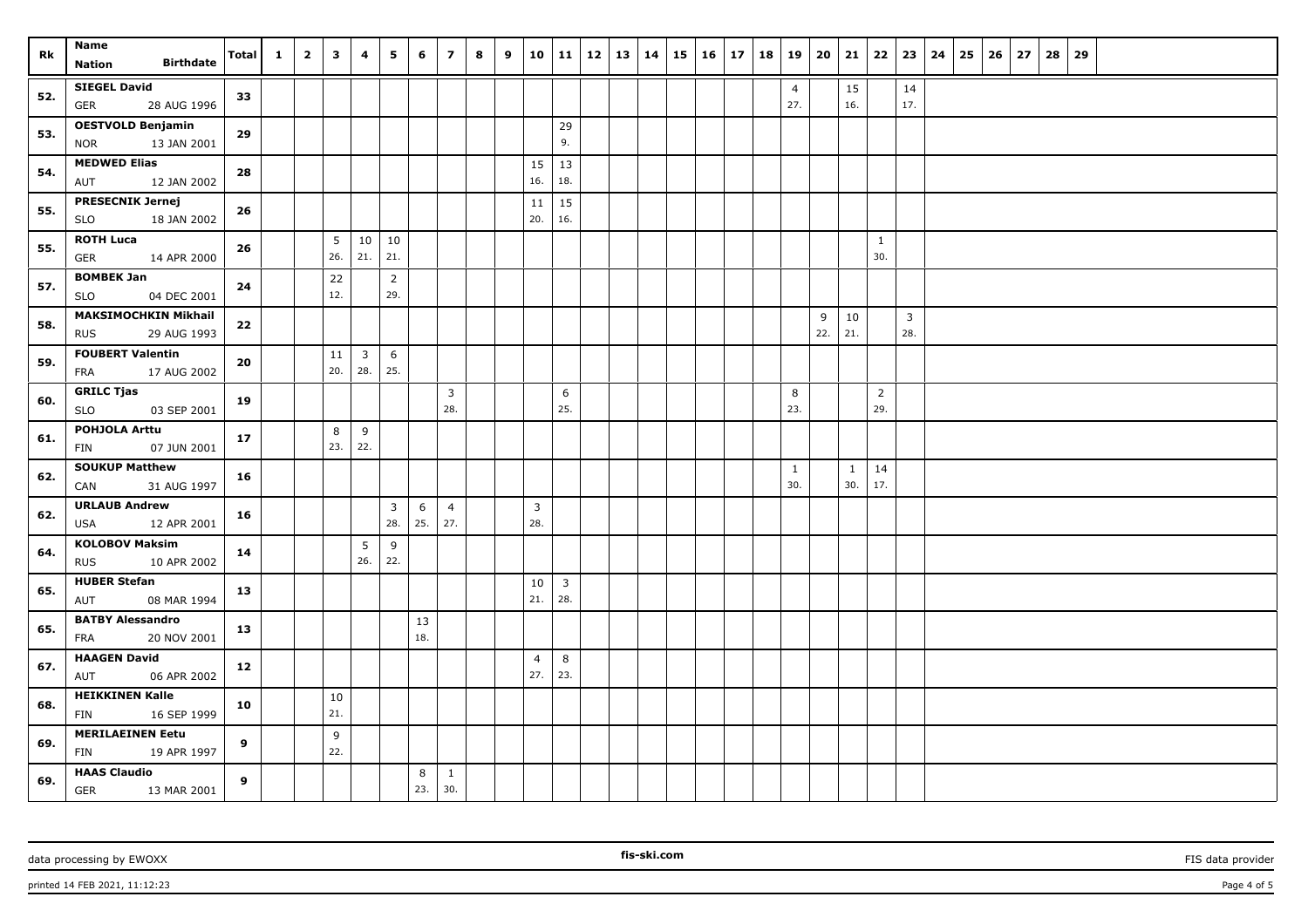| Rk  | Name                                               |       | $\mathbf{1}$ | $\overline{2}$ | $\overline{\mathbf{3}}$ | 4              | 5                              | 6        | $\overline{7}$        | 8 | 9 |                | 10 11          | $12 \mid 13 \mid 14$ |  | $15 \mid 16 \mid 17$ | 18 |                | 19   20   21 |              |                | $22 \mid 23 \mid$ | $24 \mid 25$ | $26 \mid 27$ | 28<br>29 |  |  |  |
|-----|----------------------------------------------------|-------|--------------|----------------|-------------------------|----------------|--------------------------------|----------|-----------------------|---|---|----------------|----------------|----------------------|--|----------------------|----|----------------|--------------|--------------|----------------|-------------------|--------------|--------------|----------|--|--|--|
|     | <b>Birthdate</b><br><b>Nation</b>                  | Total |              |                |                         |                |                                |          |                       |   |   |                |                |                      |  |                      |    |                |              |              |                |                   |              |              |          |  |  |  |
| 52. | <b>SIEGEL David</b>                                |       |              |                |                         |                |                                |          |                       |   |   |                |                |                      |  |                      |    | $\overline{4}$ |              | 15           |                | 14                |              |              |          |  |  |  |
|     | 28 AUG 1996<br>GER                                 | 33    |              |                |                         |                |                                |          |                       |   |   |                |                |                      |  |                      |    | 27.            |              | 16.          |                | 17.               |              |              |          |  |  |  |
| 53. | <b>OESTVOLD Benjamin</b>                           | 29    |              |                |                         |                |                                |          |                       |   |   |                | 29             |                      |  |                      |    |                |              |              |                |                   |              |              |          |  |  |  |
|     | <b>NOR</b><br>13 JAN 2001                          |       |              |                |                         |                |                                |          |                       |   |   |                | 9.             |                      |  |                      |    |                |              |              |                |                   |              |              |          |  |  |  |
| 54. | <b>MEDWED Elias</b>                                | 28    |              |                |                         |                |                                |          |                       |   |   | 15             | 13             |                      |  |                      |    |                |              |              |                |                   |              |              |          |  |  |  |
|     | 12 JAN 2002<br>AUT                                 |       |              |                |                         |                |                                |          |                       |   |   | 16.            | 18.            |                      |  |                      |    |                |              |              |                |                   |              |              |          |  |  |  |
| 55. | <b>PRESECNIK Jernej</b>                            | 26    |              |                |                         |                |                                |          |                       |   |   | 11             | 15             |                      |  |                      |    |                |              |              |                |                   |              |              |          |  |  |  |
|     | SLO<br>18 JAN 2002                                 |       |              |                |                         |                |                                |          |                       |   |   | 20.            | 16.            |                      |  |                      |    |                |              |              |                |                   |              |              |          |  |  |  |
| 55. | <b>ROTH Luca</b>                                   | 26    |              |                | 5                       |                | $10 \mid 10$                   |          |                       |   |   |                |                |                      |  |                      |    |                |              |              | $\mathbf{1}$   |                   |              |              |          |  |  |  |
|     | <b>GER</b><br>14 APR 2000                          |       |              |                | 26.                     | 21.            | 21.                            |          |                       |   |   |                |                |                      |  |                      |    |                |              |              | 30.            |                   |              |              |          |  |  |  |
| 57. | <b>BOMBEK Jan</b>                                  | 24    |              |                | 22                      |                | $\overline{2}$                 |          |                       |   |   |                |                |                      |  |                      |    |                |              |              |                |                   |              |              |          |  |  |  |
|     | 04 DEC 2001<br><b>SLO</b>                          |       |              |                | 12.                     |                | 29.                            |          |                       |   |   |                |                |                      |  |                      |    |                |              |              |                |                   |              |              |          |  |  |  |
| 58. | <b>MAKSIMOCHKIN Mikhail</b>                        | 22    |              |                |                         |                |                                |          |                       |   |   |                |                |                      |  |                      |    |                | 9            | 10           |                | $\overline{3}$    |              |              |          |  |  |  |
|     | 29 AUG 1993<br><b>RUS</b>                          |       |              |                |                         |                |                                |          |                       |   |   |                |                |                      |  |                      |    |                | 22.          | 21.          |                | 28.               |              |              |          |  |  |  |
| 59. | <b>FOUBERT Valentin</b>                            | 20    |              |                | 11                      | $\overline{3}$ | 6                              |          |                       |   |   |                |                |                      |  |                      |    |                |              |              |                |                   |              |              |          |  |  |  |
|     | 17 AUG 2002<br>FRA                                 |       |              |                | 20.                     | 28.            | 25.                            |          |                       |   |   |                |                |                      |  |                      |    |                |              |              |                |                   |              |              |          |  |  |  |
| 60. | <b>GRILC Tjas</b>                                  | 19    |              |                |                         |                |                                |          | $\overline{3}$        |   |   |                | 6              |                      |  |                      |    | 8              |              |              | $\overline{2}$ |                   |              |              |          |  |  |  |
|     | 03 SEP 2001<br><b>SLO</b>                          |       |              |                |                         |                |                                |          | 28.                   |   |   |                | 25.            |                      |  |                      |    | 23.            |              |              | 29.            |                   |              |              |          |  |  |  |
| 61. | <b>POHJOLA Arttu</b>                               | 17    |              |                | 8                       | 9              |                                |          |                       |   |   |                |                |                      |  |                      |    |                |              |              |                |                   |              |              |          |  |  |  |
|     | FIN<br>07 JUN 2001                                 |       |              |                | 23.                     | 22.            |                                |          |                       |   |   |                |                |                      |  |                      |    |                |              |              |                |                   |              |              |          |  |  |  |
| 62. | <b>SOUKUP Matthew</b>                              | 16    |              |                |                         |                |                                |          |                       |   |   |                |                |                      |  |                      |    | 1<br>30.       |              | $\mathbf{1}$ | 14<br>17.      |                   |              |              |          |  |  |  |
|     | CAN<br>31 AUG 1997                                 |       |              |                |                         |                |                                |          |                       |   |   |                |                |                      |  |                      |    |                |              | 30.          |                |                   |              |              |          |  |  |  |
| 62. | <b>URLAUB Andrew</b>                               | 16    |              |                |                         |                | $\overline{\mathbf{3}}$<br>28. | 6<br>25. | $\overline{4}$<br>27. |   |   | 3<br>28.       |                |                      |  |                      |    |                |              |              |                |                   |              |              |          |  |  |  |
|     | USA<br>12 APR 2001                                 |       |              |                |                         |                |                                |          |                       |   |   |                |                |                      |  |                      |    |                |              |              |                |                   |              |              |          |  |  |  |
| 64. | <b>KOLOBOV Maksim</b><br><b>RUS</b><br>10 APR 2002 | 14    |              |                |                         | 5<br>26.       | 9<br>22.                       |          |                       |   |   |                |                |                      |  |                      |    |                |              |              |                |                   |              |              |          |  |  |  |
|     | <b>HUBER Stefan</b>                                |       |              |                |                         |                |                                |          |                       |   |   | 10             | $\overline{3}$ |                      |  |                      |    |                |              |              |                |                   |              |              |          |  |  |  |
| 65. | 08 MAR 1994<br>AUT                                 | 13    |              |                |                         |                |                                |          |                       |   |   | 21.            | 28.            |                      |  |                      |    |                |              |              |                |                   |              |              |          |  |  |  |
|     | <b>BATBY Alessandro</b>                            |       |              |                |                         |                |                                | 13       |                       |   |   |                |                |                      |  |                      |    |                |              |              |                |                   |              |              |          |  |  |  |
| 65. | 20 NOV 2001<br>FRA                                 | 13    |              |                |                         |                |                                | 18.      |                       |   |   |                |                |                      |  |                      |    |                |              |              |                |                   |              |              |          |  |  |  |
|     | <b>HAAGEN David</b>                                |       |              |                |                         |                |                                |          |                       |   |   | $\overline{4}$ | 8              |                      |  |                      |    |                |              |              |                |                   |              |              |          |  |  |  |
| 67. | 06 APR 2002<br>AUT                                 | 12    |              |                |                         |                |                                |          |                       |   |   | 27.            | 23.            |                      |  |                      |    |                |              |              |                |                   |              |              |          |  |  |  |
|     | <b>HEIKKINEN Kalle</b>                             |       |              |                | 10                      |                |                                |          |                       |   |   |                |                |                      |  |                      |    |                |              |              |                |                   |              |              |          |  |  |  |
| 68. | 16 SEP 1999<br><b>FIN</b>                          | 10    |              |                | 21.                     |                |                                |          |                       |   |   |                |                |                      |  |                      |    |                |              |              |                |                   |              |              |          |  |  |  |
|     | <b>MERILAEINEN Eetu</b>                            |       |              |                | 9                       |                |                                |          |                       |   |   |                |                |                      |  |                      |    |                |              |              |                |                   |              |              |          |  |  |  |
| 69. | <b>FIN</b><br>19 APR 1997                          | 9     |              |                | 22.                     |                |                                |          |                       |   |   |                |                |                      |  |                      |    |                |              |              |                |                   |              |              |          |  |  |  |
|     | <b>HAAS Claudio</b>                                |       |              |                |                         |                |                                | 8        | $\mathbf{1}$          |   |   |                |                |                      |  |                      |    |                |              |              |                |                   |              |              |          |  |  |  |
| 69. | <b>GER</b><br>13 MAR 2001                          | 9     |              |                |                         |                |                                | 23.      | 30.                   |   |   |                |                |                      |  |                      |    |                |              |              |                |                   |              |              |          |  |  |  |

data processing by EWOXX **FIS** data provider **FIS** data provider **FIS** data provider **FIS** data provider

printed 14 FEB 2021, 11:12:23 Page 4 of 5